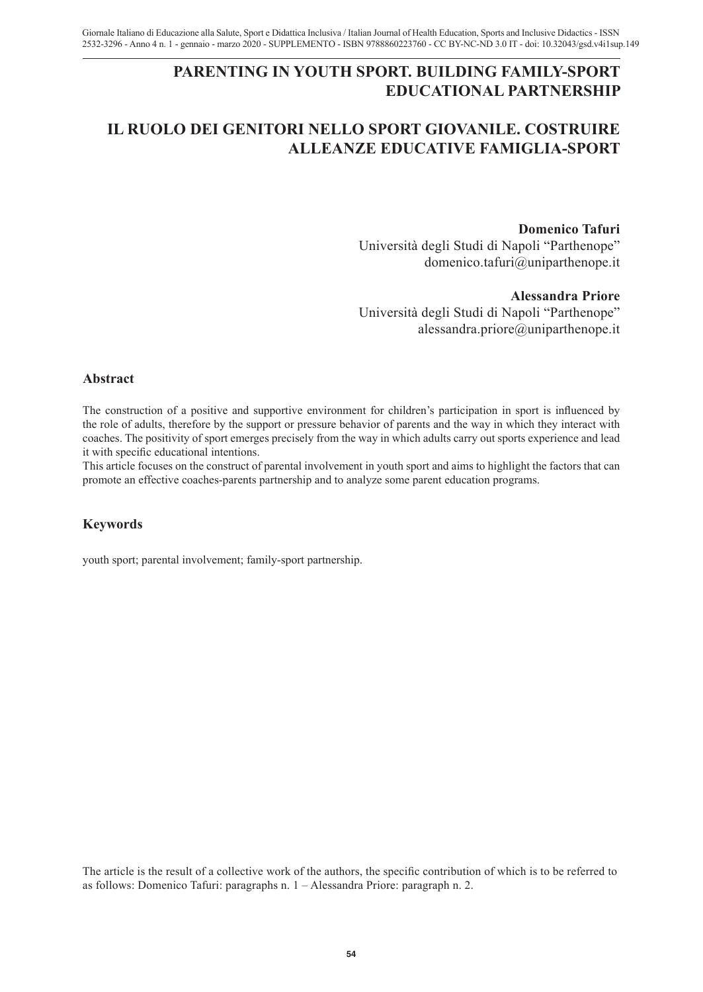# **PARENTING IN YOUTH SPORT. BUILDING FAMILY-SPORT EDUCATIONAL PARTNERSHIP**

# **IL RUOLO DEI GENITORI NELLO SPORT GIOVANILE. COSTRUIRE ALLEANZE EDUCATIVE FAMIGLIA-SPORT**

### **Domenico Tafuri**

Università degli Studi di Napoli "Parthenope" domenico.tafuri@uniparthenope.it

#### **Alessandra Priore**

Università degli Studi di Napoli "Parthenope" alessandra.priore@uniparthenope.it

### **Abstract**

The construction of a positive and supportive environment for children's participation in sport is influenced by the role of adults, therefore by the support or pressure behavior of parents and the way in which they interact with coaches. The positivity of sport emerges precisely from the way in which adults carry out sports experience and lead it with specific educational intentions.

This article focuses on the construct of parental involvement in youth sport and aims to highlight the factors that can promote an effective coaches-parents partnership and to analyze some parent education programs.

## **Keywords**

youth sport; parental involvement; family-sport partnership.

The article is the result of a collective work of the authors, the specific contribution of which is to be referred to as follows: Domenico Tafuri: paragraphs n. 1 – Alessandra Priore: paragraph n. 2.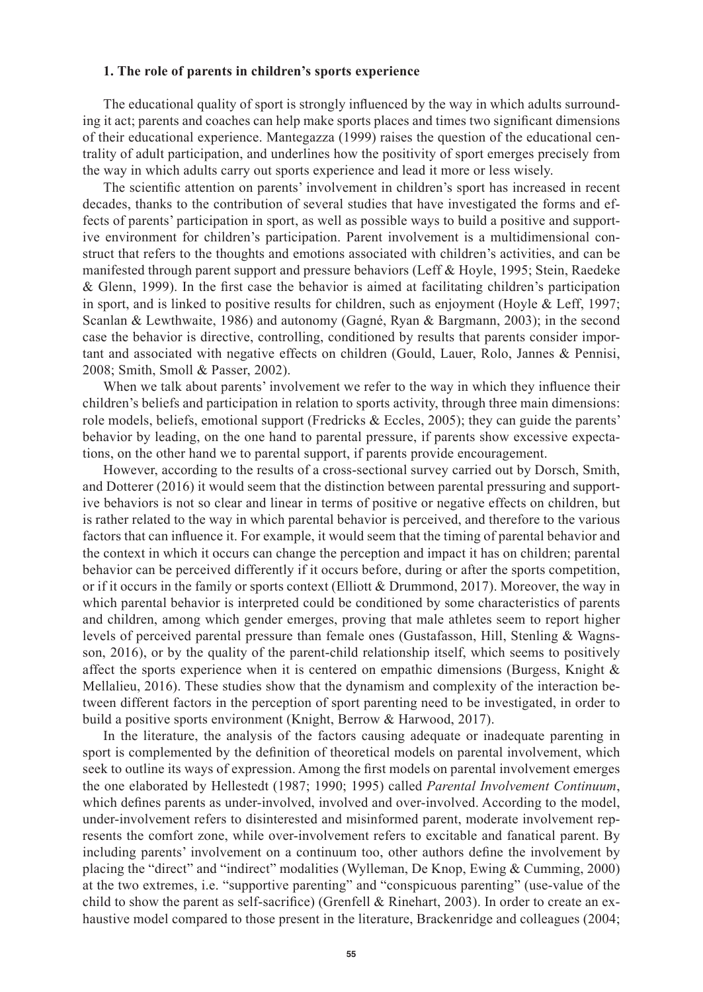### **1. The role of parents in children's sports experience**

The educational quality of sport is strongly influenced by the way in which adults surrounding it act; parents and coaches can help make sports places and times two significant dimensions of their educational experience. Mantegazza (1999) raises the question of the educational centrality of adult participation, and underlines how the positivity of sport emerges precisely from the way in which adults carry out sports experience and lead it more or less wisely.

The scientific attention on parents' involvement in children's sport has increased in recent decades, thanks to the contribution of several studies that have investigated the forms and effects of parents' participation in sport, as well as possible ways to build a positive and supportive environment for children's participation. Parent involvement is a multidimensional construct that refers to the thoughts and emotions associated with children's activities, and can be manifested through parent support and pressure behaviors (Leff & Hoyle, 1995; Stein, Raedeke & Glenn, 1999). In the first case the behavior is aimed at facilitating children's participation in sport, and is linked to positive results for children, such as enjoyment (Hoyle & Leff, 1997; Scanlan & Lewthwaite, 1986) and autonomy (Gagné, Ryan & Bargmann, 2003); in the second case the behavior is directive, controlling, conditioned by results that parents consider important and associated with negative effects on children (Gould, Lauer, Rolo, Jannes & Pennisi, 2008; Smith, Smoll & Passer, 2002).

When we talk about parents' involvement we refer to the way in which they influence their children's beliefs and participation in relation to sports activity, through three main dimensions: role models, beliefs, emotional support (Fredricks  $\&$  Eccles, 2005); they can guide the parents' behavior by leading, on the one hand to parental pressure, if parents show excessive expectations, on the other hand we to parental support, if parents provide encouragement.

However, according to the results of a cross-sectional survey carried out by Dorsch, Smith, and Dotterer (2016) it would seem that the distinction between parental pressuring and supportive behaviors is not so clear and linear in terms of positive or negative effects on children, but is rather related to the way in which parental behavior is perceived, and therefore to the various factors that can influence it. For example, it would seem that the timing of parental behavior and the context in which it occurs can change the perception and impact it has on children; parental behavior can be perceived differently if it occurs before, during or after the sports competition, or if it occurs in the family or sports context (Elliott & Drummond, 2017). Moreover, the way in which parental behavior is interpreted could be conditioned by some characteristics of parents and children, among which gender emerges, proving that male athletes seem to report higher levels of perceived parental pressure than female ones (Gustafasson, Hill, Stenling & Wagnsson, 2016), or by the quality of the parent-child relationship itself, which seems to positively affect the sports experience when it is centered on empathic dimensions (Burgess, Knight  $\&$ Mellalieu, 2016). These studies show that the dynamism and complexity of the interaction between different factors in the perception of sport parenting need to be investigated, in order to build a positive sports environment (Knight, Berrow & Harwood, 2017).

In the literature, the analysis of the factors causing adequate or inadequate parenting in sport is complemented by the definition of theoretical models on parental involvement, which seek to outline its ways of expression. Among the first models on parental involvement emerges the one elaborated by Hellestedt (1987; 1990; 1995) called *Parental Involvement Continuum*, which defines parents as under-involved, involved and over-involved. According to the model, under-involvement refers to disinterested and misinformed parent, moderate involvement represents the comfort zone, while over-involvement refers to excitable and fanatical parent. By including parents' involvement on a continuum too, other authors define the involvement by placing the "direct" and "indirect" modalities (Wylleman, De Knop, Ewing & Cumming, 2000) at the two extremes, i.e. "supportive parenting" and "conspicuous parenting" (use-value of the child to show the parent as self-sacrifice) (Grenfell & Rinehart, 2003). In order to create an exhaustive model compared to those present in the literature, Brackenridge and colleagues (2004;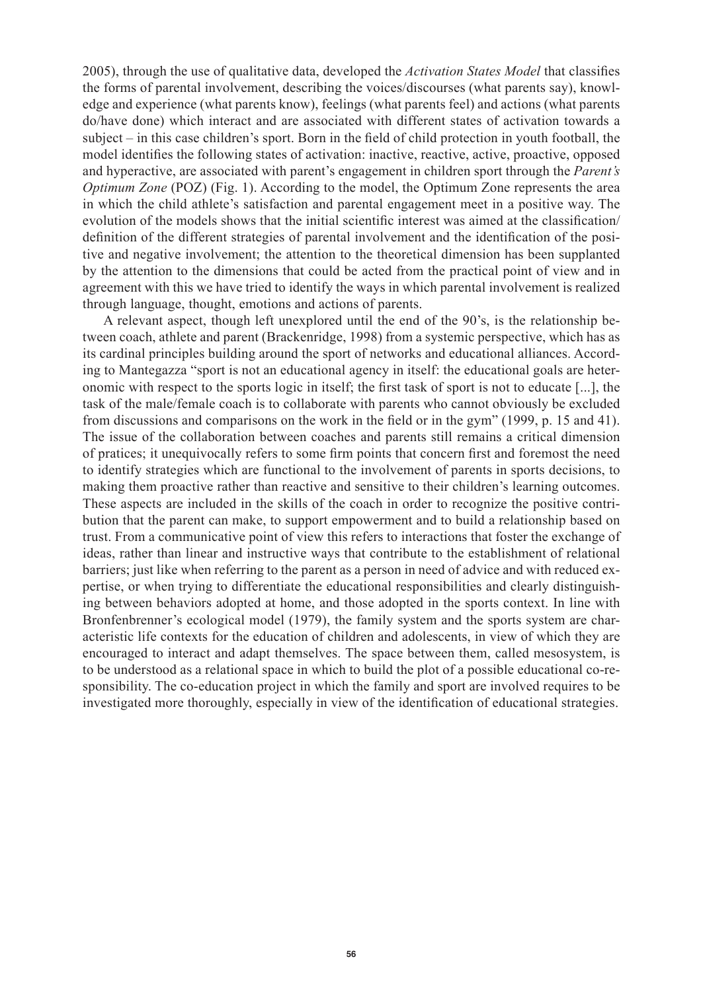2005), through the use of qualitative data, developed the *Activation States Model* that classifies the forms of parental involvement, describing the voices/discourses (what parents say), knowledge and experience (what parents know), feelings (what parents feel) and actions (what parents do/have done) which interact and are associated with different states of activation towards a subject – in this case children's sport. Born in the field of child protection in youth football, the model identifies the following states of activation: inactive, reactive, active, proactive, opposed and hyperactive, are associated with parent's engagement in children sport through the *Parent's Optimum Zone* (POZ) (Fig. 1). According to the model, the Optimum Zone represents the area in which the child athlete's satisfaction and parental engagement meet in a positive way. The evolution of the models shows that the initial scientific interest was aimed at the classification/ definition of the different strategies of parental involvement and the identification of the positive and negative involvement; the attention to the theoretical dimension has been supplanted by the attention to the dimensions that could be acted from the practical point of view and in agreement with this we have tried to identify the ways in which parental involvement is realized through language, thought, emotions and actions of parents.

A relevant aspect, though left unexplored until the end of the 90's, is the relationship between coach, athlete and parent (Brackenridge, 1998) from a systemic perspective, which has as its cardinal principles building around the sport of networks and educational alliances. According to Mantegazza "sport is not an educational agency in itself: the educational goals are heteronomic with respect to the sports logic in itself; the first task of sport is not to educate [...], the task of the male/female coach is to collaborate with parents who cannot obviously be excluded from discussions and comparisons on the work in the field or in the gym" (1999, p. 15 and 41). The issue of the collaboration between coaches and parents still remains a critical dimension of pratices; it unequivocally refers to some firm points that concern first and foremost the need to identify strategies which are functional to the involvement of parents in sports decisions, to making them proactive rather than reactive and sensitive to their children's learning outcomes. These aspects are included in the skills of the coach in order to recognize the positive contribution that the parent can make, to support empowerment and to build a relationship based on trust. From a communicative point of view this refers to interactions that foster the exchange of ideas, rather than linear and instructive ways that contribute to the establishment of relational barriers; just like when referring to the parent as a person in need of advice and with reduced expertise, or when trying to differentiate the educational responsibilities and clearly distinguishing between behaviors adopted at home, and those adopted in the sports context. In line with Bronfenbrenner's ecological model (1979), the family system and the sports system are characteristic life contexts for the education of children and adolescents, in view of which they are encouraged to interact and adapt themselves. The space between them, called mesosystem, is to be understood as a relational space in which to build the plot of a possible educational co-responsibility. The co-education project in which the family and sport are involved requires to be investigated more thoroughly, especially in view of the identification of educational strategies.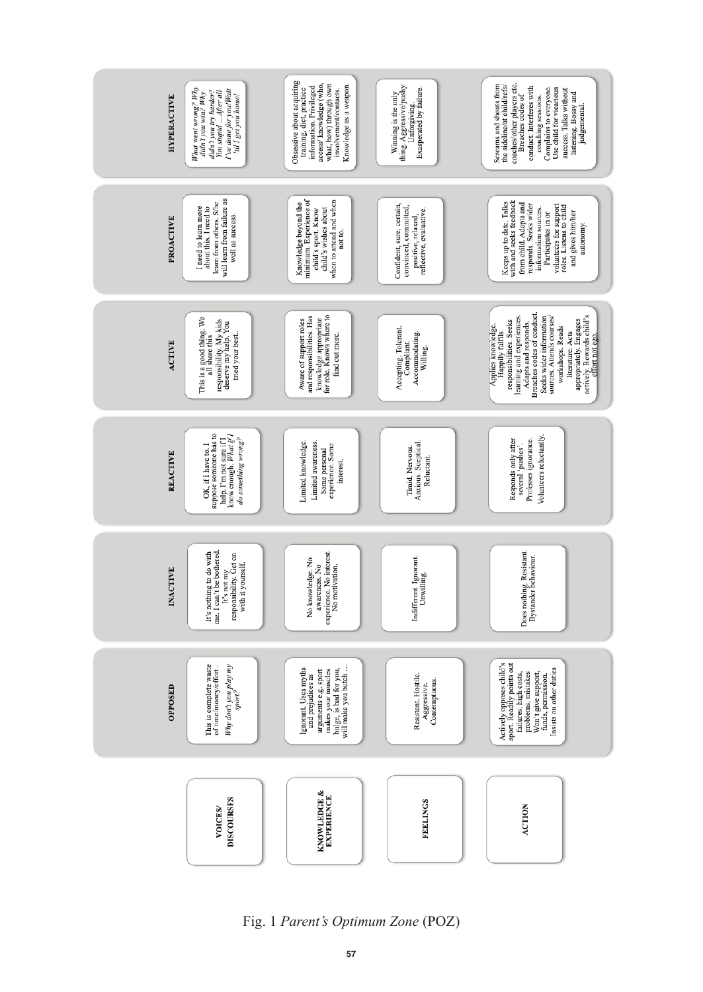

Fig. 1 *Parent's Optimum Zone* (POZ)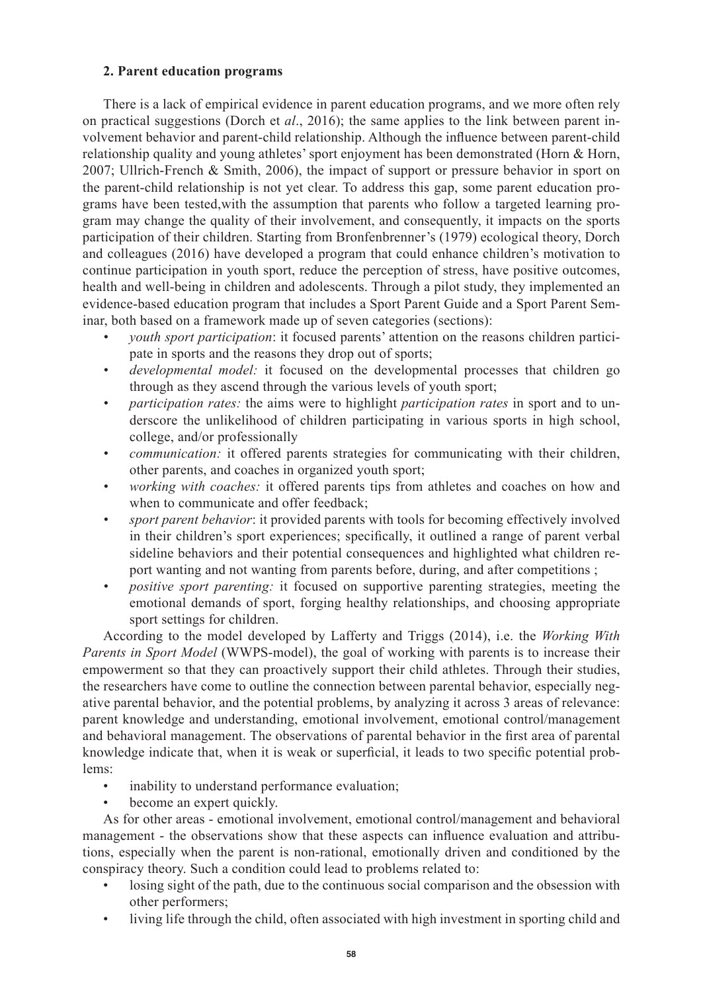## **2. Parent education programs**

There is a lack of empirical evidence in parent education programs, and we more often rely on practical suggestions (Dorch et *al*., 2016); the same applies to the link between parent involvement behavior and parent-child relationship. Although the influence between parent-child relationship quality and young athletes' sport enjoyment has been demonstrated (Horn & Horn, 2007; Ullrich-French & Smith, 2006), the impact of support or pressure behavior in sport on the parent-child relationship is not yet clear. To address this gap, some parent education programs have been tested,with the assumption that parents who follow a targeted learning program may change the quality of their involvement, and consequently, it impacts on the sports participation of their children. Starting from Bronfenbrenner's (1979) ecological theory, Dorch and colleagues (2016) have developed a program that could enhance children's motivation to continue participation in youth sport, reduce the perception of stress, have positive outcomes, health and well-being in children and adolescents. Through a pilot study, they implemented an evidence-based education program that includes a Sport Parent Guide and a Sport Parent Seminar, both based on a framework made up of seven categories (sections):

- *vouth sport participation*: it focused parents' attention on the reasons children participate in sports and the reasons they drop out of sports;
- *• developmental model:* it focused on the developmental processes that children go through as they ascend through the various levels of youth sport;
- *• participation rates:* the aims were to highlight *participation rates* in sport and to underscore the unlikelihood of children participating in various sports in high school, college, and/or professionally
- *• communication:* it offered parents strategies for communicating with their children, other parents, and coaches in organized youth sport;
- *• working with coaches:* it offered parents tips from athletes and coaches on how and when to communicate and offer feedback;
- *sport parent behavior*: it provided parents with tools for becoming effectively involved in their children's sport experiences; specifically, it outlined a range of parent verbal sideline behaviors and their potential consequences and highlighted what children report wanting and not wanting from parents before, during, and after competitions ;
- *positive sport parenting:* it focused on supportive parenting strategies, meeting the emotional demands of sport, forging healthy relationships, and choosing appropriate sport settings for children.

According to the model developed by Lafferty and Triggs (2014), i.e. the *Working With Parents in Sport Model* (WWPS-model), the goal of working with parents is to increase their empowerment so that they can proactively support their child athletes. Through their studies, the researchers have come to outline the connection between parental behavior, especially negative parental behavior, and the potential problems, by analyzing it across 3 areas of relevance: parent knowledge and understanding, emotional involvement, emotional control/management and behavioral management. The observations of parental behavior in the first area of parental knowledge indicate that, when it is weak or superficial, it leads to two specific potential problems:

- inability to understand performance evaluation;
- become an expert quickly.

As for other areas - emotional involvement, emotional control/management and behavioral management - the observations show that these aspects can influence evaluation and attributions, especially when the parent is non-rational, emotionally driven and conditioned by the conspiracy theory. Such a condition could lead to problems related to:

- losing sight of the path, due to the continuous social comparison and the obsession with other performers;
- living life through the child, often associated with high investment in sporting child and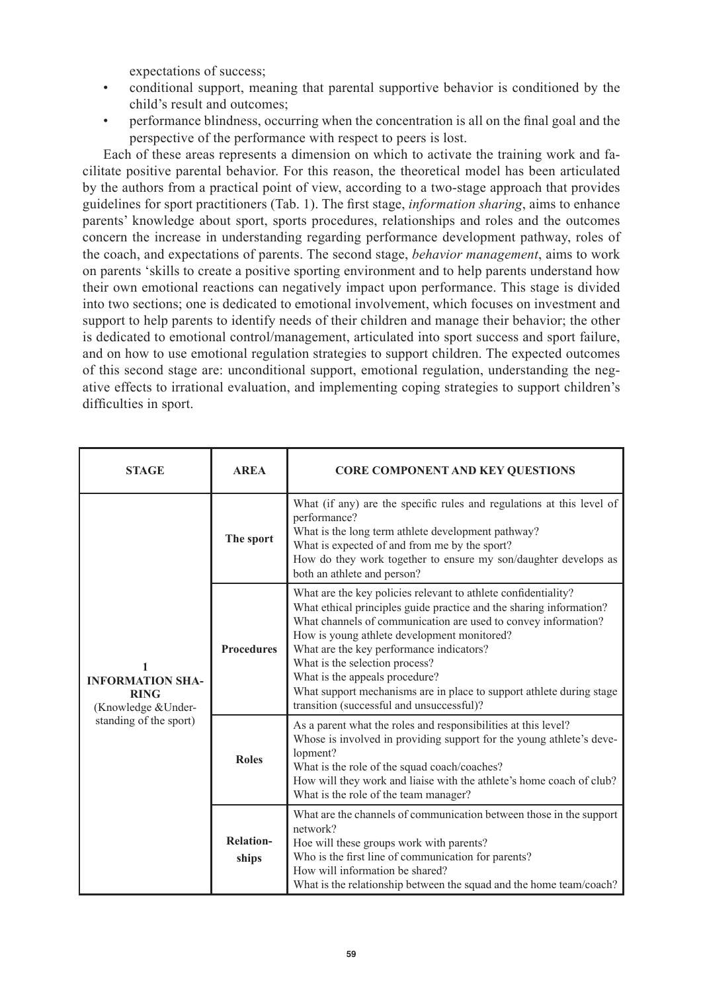expectations of success;

- conditional support, meaning that parental supportive behavior is conditioned by the child's result and outcomes;
- performance blindness, occurring when the concentration is all on the final goal and the perspective of the performance with respect to peers is lost.

Each of these areas represents a dimension on which to activate the training work and facilitate positive parental behavior. For this reason, the theoretical model has been articulated by the authors from a practical point of view, according to a two-stage approach that provides guidelines for sport practitioners (Tab. 1). The first stage, *information sharing*, aims to enhance parents' knowledge about sport, sports procedures, relationships and roles and the outcomes concern the increase in understanding regarding performance development pathway, roles of the coach, and expectations of parents. The second stage, *behavior management*, aims to work on parents 'skills to create a positive sporting environment and to help parents understand how their own emotional reactions can negatively impact upon performance. This stage is divided into two sections; one is dedicated to emotional involvement, which focuses on investment and support to help parents to identify needs of their children and manage their behavior; the other is dedicated to emotional control/management, articulated into sport success and sport failure, and on how to use emotional regulation strategies to support children. The expected outcomes of this second stage are: unconditional support, emotional regulation, understanding the negative effects to irrational evaluation, and implementing coping strategies to support children's difficulties in sport.

| <b>STAGE</b>                                                                            | <b>AREA</b>               | <b>CORE COMPONENT AND KEY QUESTIONS</b>                                                                                                                                                                                                                                                                                                                                                                                                                                                     |
|-----------------------------------------------------------------------------------------|---------------------------|---------------------------------------------------------------------------------------------------------------------------------------------------------------------------------------------------------------------------------------------------------------------------------------------------------------------------------------------------------------------------------------------------------------------------------------------------------------------------------------------|
| <b>INFORMATION SHA-</b><br><b>RING</b><br>(Knowledge & Under-<br>standing of the sport) | The sport                 | What (if any) are the specific rules and regulations at this level of<br>performance?<br>What is the long term athlete development pathway?<br>What is expected of and from me by the sport?<br>How do they work together to ensure my son/daughter develops as<br>both an athlete and person?                                                                                                                                                                                              |
|                                                                                         | <b>Procedures</b>         | What are the key policies relevant to athlete confidentiality?<br>What ethical principles guide practice and the sharing information?<br>What channels of communication are used to convey information?<br>How is young athlete development monitored?<br>What are the key performance indicators?<br>What is the selection process?<br>What is the appeals procedure?<br>What support mechanisms are in place to support athlete during stage<br>transition (successful and unsuccessful)? |
|                                                                                         | <b>Roles</b>              | As a parent what the roles and responsibilities at this level?<br>Whose is involved in providing support for the young athlete's deve-<br>lopment?<br>What is the role of the squad coach/coaches?<br>How will they work and liaise with the athlete's home coach of club?<br>What is the role of the team manager?                                                                                                                                                                         |
|                                                                                         | <b>Relation-</b><br>ships | What are the channels of communication between those in the support<br>network?<br>Hoe will these groups work with parents?<br>Who is the first line of communication for parents?<br>How will information be shared?<br>What is the relationship between the squad and the home team/coach?                                                                                                                                                                                                |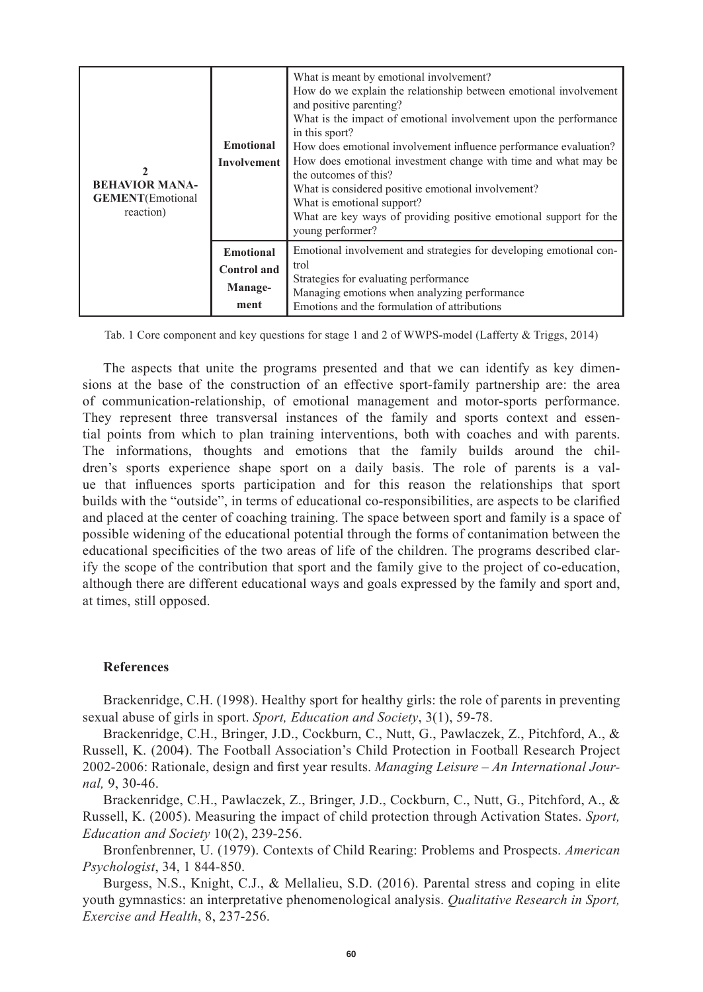| <b>BEHAVIOR MANA-</b><br><b>GEMENT</b> (Emotional<br>reaction) | <b>Emotional</b><br>Involvement                           | What is meant by emotional involvement?<br>How do we explain the relationship between emotional involvement<br>and positive parenting?<br>What is the impact of emotional involvement upon the performance<br>in this sport?<br>How does emotional involvement influence performance evaluation?<br>How does emotional investment change with time and what may be<br>the outcomes of this?<br>What is considered positive emotional involvement?<br>What is emotional support?<br>What are key ways of providing positive emotional support for the<br>young performer? |
|----------------------------------------------------------------|-----------------------------------------------------------|--------------------------------------------------------------------------------------------------------------------------------------------------------------------------------------------------------------------------------------------------------------------------------------------------------------------------------------------------------------------------------------------------------------------------------------------------------------------------------------------------------------------------------------------------------------------------|
|                                                                | <b>Emotional</b><br><b>Control</b> and<br>Manage-<br>ment | Emotional involvement and strategies for developing emotional con-<br>trol<br>Strategies for evaluating performance<br>Managing emotions when analyzing performance<br>Emotions and the formulation of attributions                                                                                                                                                                                                                                                                                                                                                      |

Tab. 1 Core component and key questions for stage 1 and 2 of WWPS-model (Lafferty & Triggs, 2014)

The aspects that unite the programs presented and that we can identify as key dimensions at the base of the construction of an effective sport-family partnership are: the area of communication-relationship, of emotional management and motor-sports performance. They represent three transversal instances of the family and sports context and essential points from which to plan training interventions, both with coaches and with parents. The informations, thoughts and emotions that the family builds around the children's sports experience shape sport on a daily basis. The role of parents is a value that influences sports participation and for this reason the relationships that sport builds with the "outside", in terms of educational co-responsibilities, are aspects to be clarified and placed at the center of coaching training. The space between sport and family is a space of possible widening of the educational potential through the forms of contanimation between the educational specificities of the two areas of life of the children. The programs described clarify the scope of the contribution that sport and the family give to the project of co-education, although there are different educational ways and goals expressed by the family and sport and, at times, still opposed.

#### **References**

Brackenridge, C.H. (1998). Healthy sport for healthy girls: the role of parents in preventing sexual abuse of girls in sport. *Sport, Education and Society*, 3(1), 59-78.

Brackenridge, C.H., Bringer, J.D., Cockburn, C., Nutt, G., Pawlaczek, Z., Pitchford, A., & Russell, K. (2004). The Football Association's Child Protection in Football Research Project 2002-2006: Rationale, design and first year results. *Managing Leisure – An International Journal,* 9, 30-46.

Brackenridge, C.H., Pawlaczek, Z., Bringer, J.D., Cockburn, C., Nutt, G., Pitchford, A., & Russell, K. (2005). Measuring the impact of child protection through Activation States. *Sport, Education and Society* 10(2), 239-256.

Bronfenbrenner, U. (1979). Contexts of Child Rearing: Problems and Prospects. *American Psychologist*, 34, 1 844-850.

Burgess, N.S., Knight, C.J., & Mellalieu, S.D. (2016). Parental stress and coping in elite youth gymnastics: an interpretative phenomenological analysis. *Qualitative Research in Sport, Exercise and Health*, 8, 237-256.